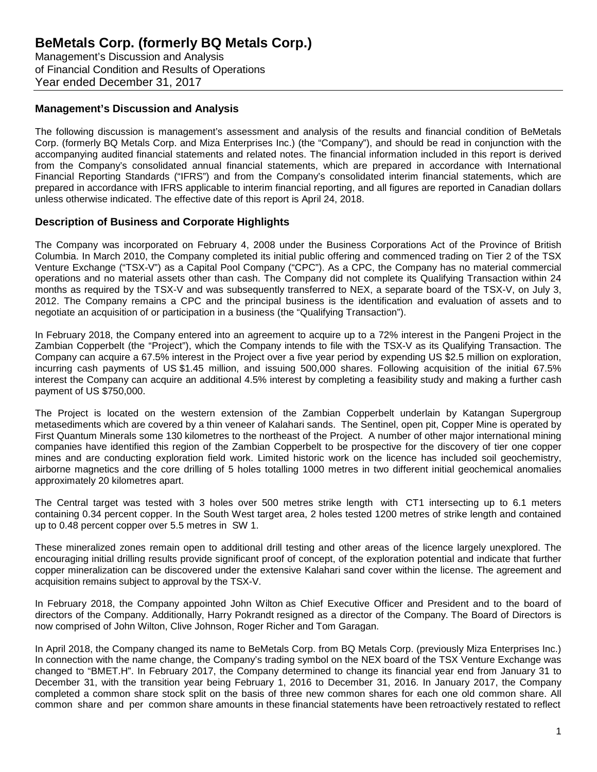Management's Discussion and Analysis of Financial Condition and Results of Operations Year ended December 31, 2017

### **Management's Discussion and Analysis**

The following discussion is management's assessment and analysis of the results and financial condition of BeMetals Corp. (formerly BQ Metals Corp. and Miza Enterprises Inc.) (the "Company"), and should be read in conjunction with the accompanying audited financial statements and related notes. The financial information included in this report is derived from the Company's consolidated annual financial statements, which are prepared in accordance with International Financial Reporting Standards ("IFRS") and from the Company's consolidated interim financial statements, which are prepared in accordance with IFRS applicable to interim financial reporting, and all figures are reported in Canadian dollars unless otherwise indicated. The effective date of this report is April 24, 2018.

### **Description of Business and Corporate Highlights**

The Company was incorporated on February 4, 2008 under the Business Corporations Act of the Province of British Columbia. In March 2010, the Company completed its initial public offering and commenced trading on Tier 2 of the TSX Venture Exchange ("TSX-V") as a Capital Pool Company ("CPC"). As a CPC, the Company has no material commercial operations and no material assets other than cash. The Company did not complete its Qualifying Transaction within 24 months as required by the TSX-V and was subsequently transferred to NEX, a separate board of the TSX-V, on July 3, 2012. The Company remains a CPC and the principal business is the identification and evaluation of assets and to negotiate an acquisition of or participation in a business (the "Qualifying Transaction").

In February 2018, the Company entered into an agreement to acquire up to a 72% interest in the Pangeni Project in the Zambian Copperbelt (the "Project"), which the Company intends to file with the TSX-V as its Qualifying Transaction. The Company can acquire a 67.5% interest in the Project over a five year period by expending US \$2.5 million on exploration, incurring cash payments of US \$1.45 million, and issuing 500,000 shares. Following acquisition of the initial 67.5% interest the Company can acquire an additional 4.5% interest by completing a feasibility study and making a further cash payment of US \$750,000.

The Project is located on the western extension of the Zambian Copperbelt underlain by Katangan Supergroup metasediments which are covered by a thin veneer of Kalahari sands. The Sentinel, open pit, Copper Mine is operated by First Quantum Minerals some 130 kilometres to the northeast of the Project. A number of other major international mining companies have identified this region of the Zambian Copperbelt to be prospective for the discovery of tier one copper mines and are conducting exploration field work. Limited historic work on the licence has included soil geochemistry, airborne magnetics and the core drilling of 5 holes totalling 1000 metres in two different initial geochemical anomalies approximately 20 kilometres apart.

The Central target was tested with 3 holes over 500 metres strike length with CT1 intersecting up to 6.1 meters containing 0.34 percent copper. In the South West target area, 2 holes tested 1200 metres of strike length and contained up to 0.48 percent copper over 5.5 metres in SW 1.

These mineralized zones remain open to additional drill testing and other areas of the licence largely unexplored. The encouraging initial drilling results provide significant proof of concept, of the exploration potential and indicate that further copper mineralization can be discovered under the extensive Kalahari sand cover within the license. The agreement and acquisition remains subject to approval by the TSX-V.

In February 2018, the Company appointed John Wilton as Chief Executive Officer and President and to the board of directors of the Company. Additionally, Harry Pokrandt resigned as a director of the Company. The Board of Directors is now comprised of John Wilton, Clive Johnson, Roger Richer and Tom Garagan.

In April 2018, the Company changed its name to BeMetals Corp. from BQ Metals Corp. (previously Miza Enterprises Inc.) In connection with the name change, the Company's trading symbol on the NEX board of the TSX Venture Exchange was changed to "BMET.H". In February 2017, the Company determined to change its financial year end from January 31 to December 31, with the transition year being February 1, 2016 to December 31, 2016. In January 2017, the Company completed a common share stock split on the basis of three new common shares for each one old common share. All common share and per common share amounts in these financial statements have been retroactively restated to reflect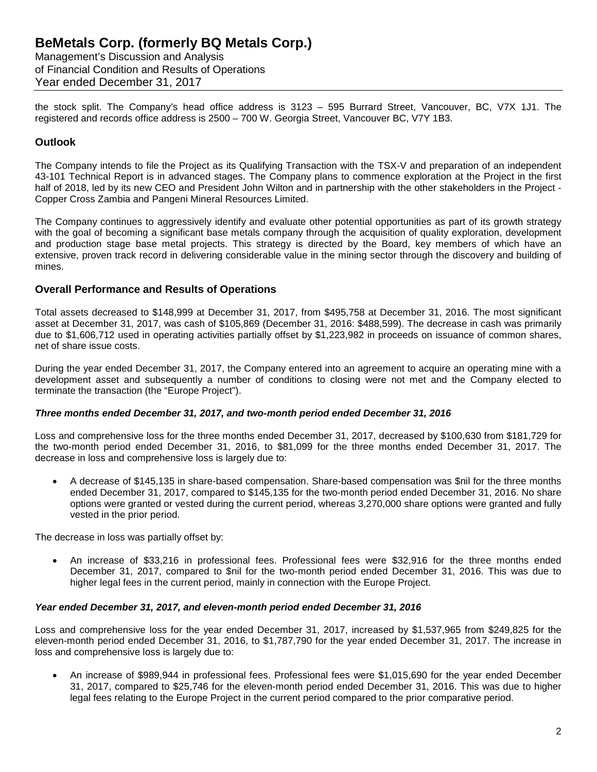Management's Discussion and Analysis of Financial Condition and Results of Operations Year ended December 31, 2017

the stock split. The Company's head office address is 3123 – 595 Burrard Street, Vancouver, BC, V7X 1J1. The registered and records office address is 2500 – 700 W. Georgia Street, Vancouver BC, V7Y 1B3.

## **Outlook**

The Company intends to file the Project as its Qualifying Transaction with the TSX-V and preparation of an independent 43-101 Technical Report is in advanced stages. The Company plans to commence exploration at the Project in the first half of 2018, led by its new CEO and President John Wilton and in partnership with the other stakeholders in the Project - Copper Cross Zambia and Pangeni Mineral Resources Limited.

The Company continues to aggressively identify and evaluate other potential opportunities as part of its growth strategy with the goal of becoming a significant base metals company through the acquisition of quality exploration, development and production stage base metal projects. This strategy is directed by the Board, key members of which have an extensive, proven track record in delivering considerable value in the mining sector through the discovery and building of mines.

### **Overall Performance and Results of Operations**

Total assets decreased to \$148,999 at December 31, 2017, from \$495,758 at December 31, 2016. The most significant asset at December 31, 2017, was cash of \$105,869 (December 31, 2016: \$488,599). The decrease in cash was primarily due to \$1,606,712 used in operating activities partially offset by \$1,223,982 in proceeds on issuance of common shares, net of share issue costs.

During the year ended December 31, 2017, the Company entered into an agreement to acquire an operating mine with a development asset and subsequently a number of conditions to closing were not met and the Company elected to terminate the transaction (the "Europe Project").

### *Three months ended December 31, 2017, and two-month period ended December 31, 2016*

Loss and comprehensive loss for the three months ended December 31, 2017, decreased by \$100,630 from \$181,729 for the two-month period ended December 31, 2016, to \$81,099 for the three months ended December 31, 2017. The decrease in loss and comprehensive loss is largely due to:

• A decrease of \$145,135 in share-based compensation. Share-based compensation was \$nil for the three months ended December 31, 2017, compared to \$145,135 for the two-month period ended December 31, 2016. No share options were granted or vested during the current period, whereas 3,270,000 share options were granted and fully vested in the prior period.

The decrease in loss was partially offset by:

• An increase of \$33,216 in professional fees. Professional fees were \$32,916 for the three months ended December 31, 2017, compared to \$nil for the two-month period ended December 31, 2016. This was due to higher legal fees in the current period, mainly in connection with the Europe Project.

#### *Year ended December 31, 2017, and eleven-month period ended December 31, 2016*

Loss and comprehensive loss for the year ended December 31, 2017, increased by \$1,537,965 from \$249,825 for the eleven-month period ended December 31, 2016, to \$1,787,790 for the year ended December 31, 2017. The increase in loss and comprehensive loss is largely due to:

• An increase of \$989,944 in professional fees. Professional fees were \$1,015,690 for the year ended December 31, 2017, compared to \$25,746 for the eleven-month period ended December 31, 2016. This was due to higher legal fees relating to the Europe Project in the current period compared to the prior comparative period.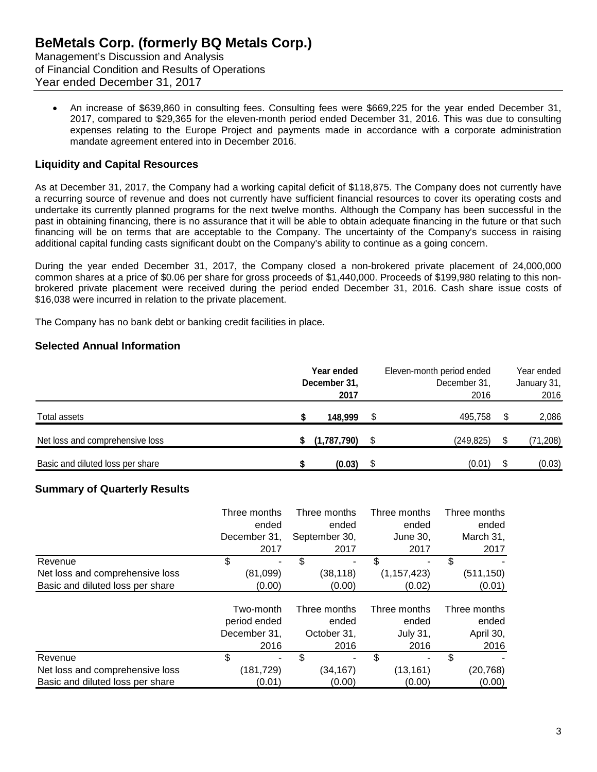Management's Discussion and Analysis of Financial Condition and Results of Operations Year ended December 31, 2017

• An increase of \$639,860 in consulting fees. Consulting fees were \$669,225 for the year ended December 31, 2017, compared to \$29,365 for the eleven-month period ended December 31, 2016. This was due to consulting expenses relating to the Europe Project and payments made in accordance with a corporate administration mandate agreement entered into in December 2016.

## **Liquidity and Capital Resources**

As at December 31, 2017, the Company had a working capital deficit of \$118,875. The Company does not currently have a recurring source of revenue and does not currently have sufficient financial resources to cover its operating costs and undertake its currently planned programs for the next twelve months. Although the Company has been successful in the past in obtaining financing, there is no assurance that it will be able to obtain adequate financing in the future or that such financing will be on terms that are acceptable to the Company. The uncertainty of the Company's success in raising additional capital funding casts significant doubt on the Company's ability to continue as a going concern.

During the year ended December 31, 2017, the Company closed a non-brokered private placement of 24,000,000 common shares at a price of \$0.06 per share for gross proceeds of \$1,440,000. Proceeds of \$199,980 relating to this nonbrokered private placement were received during the period ended December 31, 2016. Cash share issue costs of \$16,038 were incurred in relation to the private placement.

The Company has no bank debt or banking credit facilities in place.

## **Selected Annual Information**

|                                  | Year ended<br>December 31,<br>2017 |   | Eleven-month period ended<br>December 31,<br>2016 |   | Year ended<br>January 31,<br>2016 |
|----------------------------------|------------------------------------|---|---------------------------------------------------|---|-----------------------------------|
| Total assets                     | 148,999                            |   | 495,758                                           |   | 2,086                             |
| Net loss and comprehensive loss  | (1,787,790)                        |   | (249, 825)                                        | S | (71, 208)                         |
| Basic and diluted loss per share | (0.03)                             | S | (0.01)                                            |   | (0.03)                            |

## **Summary of Quarterly Results**

|                                  | Three months | Three months  | Three months  | Three months |
|----------------------------------|--------------|---------------|---------------|--------------|
|                                  | ended        | ended         | ended         | ended        |
|                                  | December 31, | September 30, | June 30,      | March 31,    |
|                                  | 2017         | 2017          | 2017          | 2017         |
| Revenue                          | \$           | \$<br>۰       | \$            | \$           |
| Net loss and comprehensive loss  | (81,099)     | (38, 118)     | (1, 157, 423) | (511, 150)   |
| Basic and diluted loss per share | (0.00)       | (0.00)        | (0.02)        | (0.01)       |
|                                  | Two-month    | Three months  | Three months  | Three months |
|                                  | period ended | ended         | ended         | ended        |
|                                  | December 31, | October 31,   | July 31,      | April 30,    |
|                                  | 2016         | 2016          | 2016          | 2016         |
| Revenue                          | \$           | \$<br>۰       | \$            | \$           |
| Net loss and comprehensive loss  | (181,729)    | (34, 167)     | (13, 161)     | (20, 768)    |
| Basic and diluted loss per share | (0.01)       | (0.00)        | (0.00)        | (0.00)       |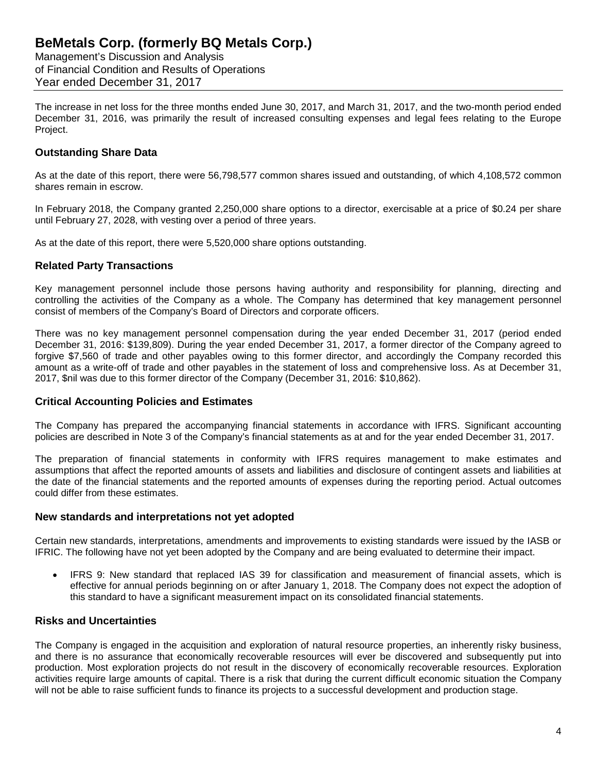Management's Discussion and Analysis of Financial Condition and Results of Operations Year ended December 31, 2017

The increase in net loss for the three months ended June 30, 2017, and March 31, 2017, and the two-month period ended December 31, 2016, was primarily the result of increased consulting expenses and legal fees relating to the Europe Project.

### **Outstanding Share Data**

As at the date of this report, there were 56,798,577 common shares issued and outstanding, of which 4,108,572 common shares remain in escrow.

In February 2018, the Company granted 2,250,000 share options to a director, exercisable at a price of \$0.24 per share until February 27, 2028, with vesting over a period of three years.

As at the date of this report, there were 5,520,000 share options outstanding.

### **Related Party Transactions**

Key management personnel include those persons having authority and responsibility for planning, directing and controlling the activities of the Company as a whole. The Company has determined that key management personnel consist of members of the Company's Board of Directors and corporate officers.

There was no key management personnel compensation during the year ended December 31, 2017 (period ended December 31, 2016: \$139,809). During the year ended December 31, 2017, a former director of the Company agreed to forgive \$7,560 of trade and other payables owing to this former director, and accordingly the Company recorded this amount as a write-off of trade and other payables in the statement of loss and comprehensive loss. As at December 31, 2017, \$nil was due to this former director of the Company (December 31, 2016: \$10,862).

### **Critical Accounting Policies and Estimates**

The Company has prepared the accompanying financial statements in accordance with IFRS. Significant accounting policies are described in Note 3 of the Company's financial statements as at and for the year ended December 31, 2017.

The preparation of financial statements in conformity with IFRS requires management to make estimates and assumptions that affect the reported amounts of assets and liabilities and disclosure of contingent assets and liabilities at the date of the financial statements and the reported amounts of expenses during the reporting period. Actual outcomes could differ from these estimates.

#### **New standards and interpretations not yet adopted**

Certain new standards, interpretations, amendments and improvements to existing standards were issued by the IASB or IFRIC. The following have not yet been adopted by the Company and are being evaluated to determine their impact.

• IFRS 9: New standard that replaced IAS 39 for classification and measurement of financial assets, which is effective for annual periods beginning on or after January 1, 2018. The Company does not expect the adoption of this standard to have a significant measurement impact on its consolidated financial statements.

### **Risks and Uncertainties**

The Company is engaged in the acquisition and exploration of natural resource properties, an inherently risky business, and there is no assurance that economically recoverable resources will ever be discovered and subsequently put into production. Most exploration projects do not result in the discovery of economically recoverable resources. Exploration activities require large amounts of capital. There is a risk that during the current difficult economic situation the Company will not be able to raise sufficient funds to finance its projects to a successful development and production stage.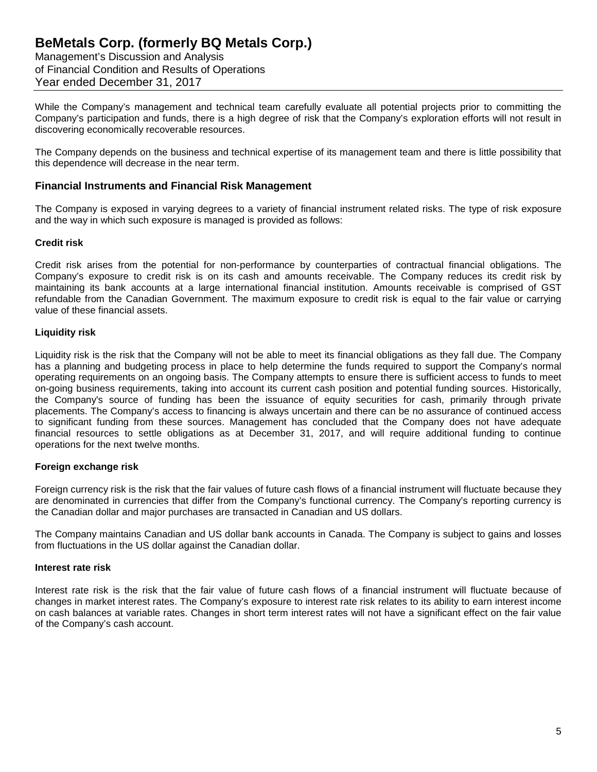Management's Discussion and Analysis of Financial Condition and Results of Operations Year ended December 31, 2017

While the Company's management and technical team carefully evaluate all potential projects prior to committing the Company's participation and funds, there is a high degree of risk that the Company's exploration efforts will not result in discovering economically recoverable resources.

The Company depends on the business and technical expertise of its management team and there is little possibility that this dependence will decrease in the near term.

### **Financial Instruments and Financial Risk Management**

The Company is exposed in varying degrees to a variety of financial instrument related risks. The type of risk exposure and the way in which such exposure is managed is provided as follows:

#### **Credit risk**

Credit risk arises from the potential for non-performance by counterparties of contractual financial obligations. The Company's exposure to credit risk is on its cash and amounts receivable. The Company reduces its credit risk by maintaining its bank accounts at a large international financial institution. Amounts receivable is comprised of GST refundable from the Canadian Government. The maximum exposure to credit risk is equal to the fair value or carrying value of these financial assets.

#### **Liquidity risk**

Liquidity risk is the risk that the Company will not be able to meet its financial obligations as they fall due. The Company has a planning and budgeting process in place to help determine the funds required to support the Company's normal operating requirements on an ongoing basis. The Company attempts to ensure there is sufficient access to funds to meet on-going business requirements, taking into account its current cash position and potential funding sources. Historically, the Company's source of funding has been the issuance of equity securities for cash, primarily through private placements. The Company's access to financing is always uncertain and there can be no assurance of continued access to significant funding from these sources. Management has concluded that the Company does not have adequate financial resources to settle obligations as at December 31, 2017, and will require additional funding to continue operations for the next twelve months.

### **Foreign exchange risk**

Foreign currency risk is the risk that the fair values of future cash flows of a financial instrument will fluctuate because they are denominated in currencies that differ from the Company's functional currency. The Company's reporting currency is the Canadian dollar and major purchases are transacted in Canadian and US dollars.

The Company maintains Canadian and US dollar bank accounts in Canada. The Company is subject to gains and losses from fluctuations in the US dollar against the Canadian dollar.

#### **Interest rate risk**

Interest rate risk is the risk that the fair value of future cash flows of a financial instrument will fluctuate because of changes in market interest rates. The Company's exposure to interest rate risk relates to its ability to earn interest income on cash balances at variable rates. Changes in short term interest rates will not have a significant effect on the fair value of the Company's cash account.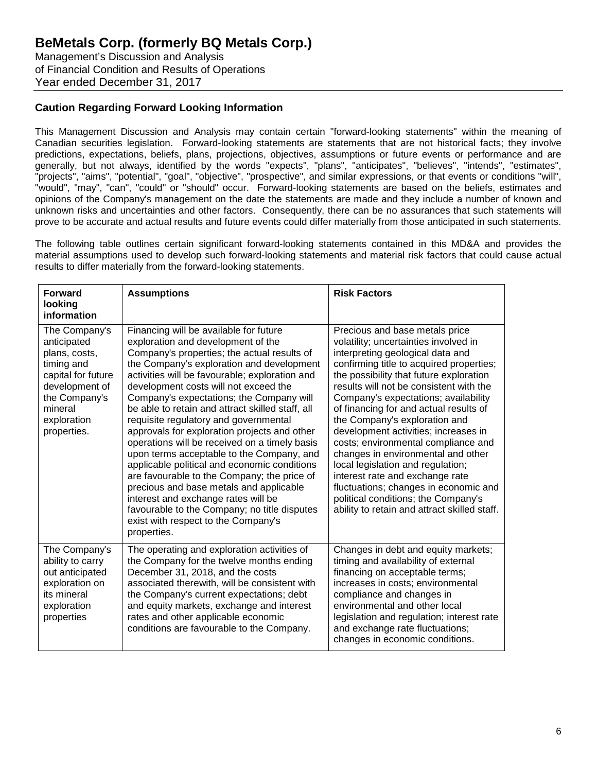Management's Discussion and Analysis of Financial Condition and Results of Operations Year ended December 31, 2017

## **Caution Regarding Forward Looking Information**

This Management Discussion and Analysis may contain certain "forward-looking statements" within the meaning of Canadian securities legislation. Forward-looking statements are statements that are not historical facts; they involve predictions, expectations, beliefs, plans, projections, objectives, assumptions or future events or performance and are generally, but not always, identified by the words "expects", "plans", "anticipates", "believes", "intends", "estimates", "projects", "aims", "potential", "goal", "objective", "prospective", and similar expressions, or that events or conditions "will", "would", "may", "can", "could" or "should" occur. Forward-looking statements are based on the beliefs, estimates and opinions of the Company's management on the date the statements are made and they include a number of known and unknown risks and uncertainties and other factors. Consequently, there can be no assurances that such statements will prove to be accurate and actual results and future events could differ materially from those anticipated in such statements.

The following table outlines certain significant forward-looking statements contained in this MD&A and provides the material assumptions used to develop such forward-looking statements and material risk factors that could cause actual results to differ materially from the forward-looking statements.

| <b>Forward</b><br>looking<br>information                                                                                                                      | <b>Assumptions</b>                                                                                                                                                                                                                                                                                                                                                                                                                                                                                                                                                                                                                                                                                                                                                                                                                                | <b>Risk Factors</b>                                                                                                                                                                                                                                                                                                                                                                                                                                                                                                                                                                                                                                                                           |
|---------------------------------------------------------------------------------------------------------------------------------------------------------------|---------------------------------------------------------------------------------------------------------------------------------------------------------------------------------------------------------------------------------------------------------------------------------------------------------------------------------------------------------------------------------------------------------------------------------------------------------------------------------------------------------------------------------------------------------------------------------------------------------------------------------------------------------------------------------------------------------------------------------------------------------------------------------------------------------------------------------------------------|-----------------------------------------------------------------------------------------------------------------------------------------------------------------------------------------------------------------------------------------------------------------------------------------------------------------------------------------------------------------------------------------------------------------------------------------------------------------------------------------------------------------------------------------------------------------------------------------------------------------------------------------------------------------------------------------------|
| The Company's<br>anticipated<br>plans, costs,<br>timing and<br>capital for future<br>development of<br>the Company's<br>mineral<br>exploration<br>properties. | Financing will be available for future<br>exploration and development of the<br>Company's properties; the actual results of<br>the Company's exploration and development<br>activities will be favourable; exploration and<br>development costs will not exceed the<br>Company's expectations; the Company will<br>be able to retain and attract skilled staff, all<br>requisite regulatory and governmental<br>approvals for exploration projects and other<br>operations will be received on a timely basis<br>upon terms acceptable to the Company, and<br>applicable political and economic conditions<br>are favourable to the Company; the price of<br>precious and base metals and applicable<br>interest and exchange rates will be<br>favourable to the Company; no title disputes<br>exist with respect to the Company's<br>properties. | Precious and base metals price<br>volatility; uncertainties involved in<br>interpreting geological data and<br>confirming title to acquired properties;<br>the possibility that future exploration<br>results will not be consistent with the<br>Company's expectations; availability<br>of financing for and actual results of<br>the Company's exploration and<br>development activities; increases in<br>costs; environmental compliance and<br>changes in environmental and other<br>local legislation and regulation;<br>interest rate and exchange rate<br>fluctuations; changes in economic and<br>political conditions; the Company's<br>ability to retain and attract skilled staff. |
| The Company's<br>ability to carry<br>out anticipated<br>exploration on<br>its mineral<br>exploration<br>properties                                            | The operating and exploration activities of<br>the Company for the twelve months ending<br>December 31, 2018, and the costs<br>associated therewith, will be consistent with<br>the Company's current expectations; debt<br>and equity markets, exchange and interest<br>rates and other applicable economic<br>conditions are favourable to the Company.                                                                                                                                                                                                                                                                                                                                                                                                                                                                                         | Changes in debt and equity markets;<br>timing and availability of external<br>financing on acceptable terms;<br>increases in costs; environmental<br>compliance and changes in<br>environmental and other local<br>legislation and regulation; interest rate<br>and exchange rate fluctuations;<br>changes in economic conditions.                                                                                                                                                                                                                                                                                                                                                            |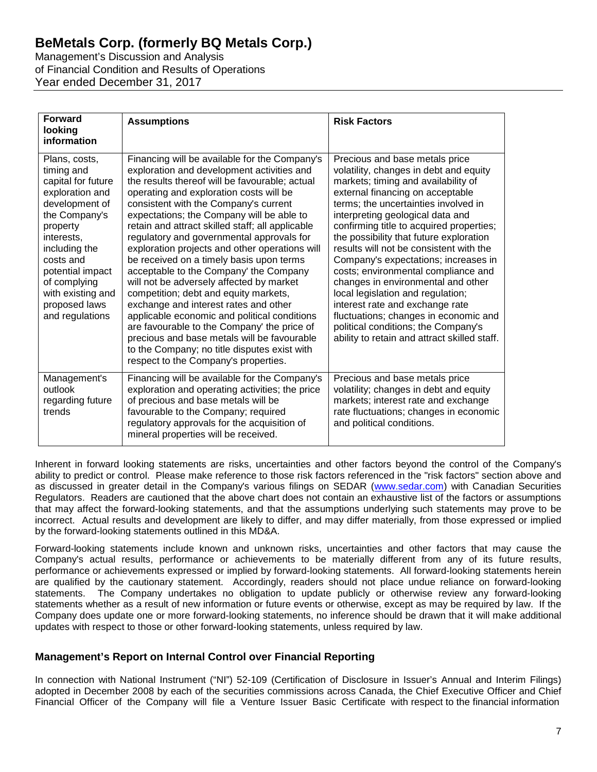Management's Discussion and Analysis of Financial Condition and Results of Operations Year ended December 31, 2017

| <b>Forward</b><br>looking<br>information                                                                                                                                                                                                                     | <b>Assumptions</b>                                                                                                                                                                                                                                                                                                                                                                                                                                                                                                                                                                                                                                                                                                                                                                                                                                                                          | <b>Risk Factors</b>                                                                                                                                                                                                                                                                                                                                                                                                                                                                                                                                                                                                                                                                            |
|--------------------------------------------------------------------------------------------------------------------------------------------------------------------------------------------------------------------------------------------------------------|---------------------------------------------------------------------------------------------------------------------------------------------------------------------------------------------------------------------------------------------------------------------------------------------------------------------------------------------------------------------------------------------------------------------------------------------------------------------------------------------------------------------------------------------------------------------------------------------------------------------------------------------------------------------------------------------------------------------------------------------------------------------------------------------------------------------------------------------------------------------------------------------|------------------------------------------------------------------------------------------------------------------------------------------------------------------------------------------------------------------------------------------------------------------------------------------------------------------------------------------------------------------------------------------------------------------------------------------------------------------------------------------------------------------------------------------------------------------------------------------------------------------------------------------------------------------------------------------------|
| Plans, costs,<br>timing and<br>capital for future<br>exploration and<br>development of<br>the Company's<br>property<br>interests,<br>including the<br>costs and<br>potential impact<br>of complying<br>with existing and<br>proposed laws<br>and regulations | Financing will be available for the Company's<br>exploration and development activities and<br>the results thereof will be favourable; actual<br>operating and exploration costs will be<br>consistent with the Company's current<br>expectations; the Company will be able to<br>retain and attract skilled staff; all applicable<br>regulatory and governmental approvals for<br>exploration projects and other operations will<br>be received on a timely basis upon terms<br>acceptable to the Company' the Company<br>will not be adversely affected by market<br>competition; debt and equity markets,<br>exchange and interest rates and other<br>applicable economic and political conditions<br>are favourable to the Company' the price of<br>precious and base metals will be favourable<br>to the Company; no title disputes exist with<br>respect to the Company's properties. | Precious and base metals price<br>volatility, changes in debt and equity<br>markets; timing and availability of<br>external financing on acceptable<br>terms; the uncertainties involved in<br>interpreting geological data and<br>confirming title to acquired properties;<br>the possibility that future exploration<br>results will not be consistent with the<br>Company's expectations; increases in<br>costs; environmental compliance and<br>changes in environmental and other<br>local legislation and regulation;<br>interest rate and exchange rate<br>fluctuations; changes in economic and<br>political conditions; the Company's<br>ability to retain and attract skilled staff. |
| Management's<br>outlook<br>regarding future<br>trends                                                                                                                                                                                                        | Financing will be available for the Company's<br>exploration and operating activities; the price<br>of precious and base metals will be<br>favourable to the Company; required<br>regulatory approvals for the acquisition of<br>mineral properties will be received.                                                                                                                                                                                                                                                                                                                                                                                                                                                                                                                                                                                                                       | Precious and base metals price<br>volatility; changes in debt and equity<br>markets; interest rate and exchange<br>rate fluctuations; changes in economic<br>and political conditions.                                                                                                                                                                                                                                                                                                                                                                                                                                                                                                         |

Inherent in forward looking statements are risks, uncertainties and other factors beyond the control of the Company's ability to predict or control. Please make reference to those risk factors referenced in the "risk factors" section above and as discussed in greater detail in the Company's various filings on SEDAR [\(www.sedar.com\)](http://www.sedar.com/) with Canadian Securities Regulators. Readers are cautioned that the above chart does not contain an exhaustive list of the factors or assumptions that may affect the forward-looking statements, and that the assumptions underlying such statements may prove to be incorrect. Actual results and development are likely to differ, and may differ materially, from those expressed or implied by the forward-looking statements outlined in this MD&A.

Forward-looking statements include known and unknown risks, uncertainties and other factors that may cause the Company's actual results, performance or achievements to be materially different from any of its future results, performance or achievements expressed or implied by forward-looking statements. All forward-looking statements herein are qualified by the cautionary statement. Accordingly, readers should not place undue reliance on forward-looking statements. The Company undertakes no obligation to update publicly or otherwise review any forward-looking statements whether as a result of new information or future events or otherwise, except as may be required by law. If the Company does update one or more forward-looking statements, no inference should be drawn that it will make additional updates with respect to those or other forward-looking statements, unless required by law.

## **Management's Report on Internal Control over Financial Reporting**

In connection with National Instrument ("NI") 52-109 (Certification of Disclosure in Issuer's Annual and Interim Filings) adopted in December 2008 by each of the securities commissions across Canada, the Chief Executive Officer and Chief Financial Officer of the Company will file a Venture Issuer Basic Certificate with respect to the financial information